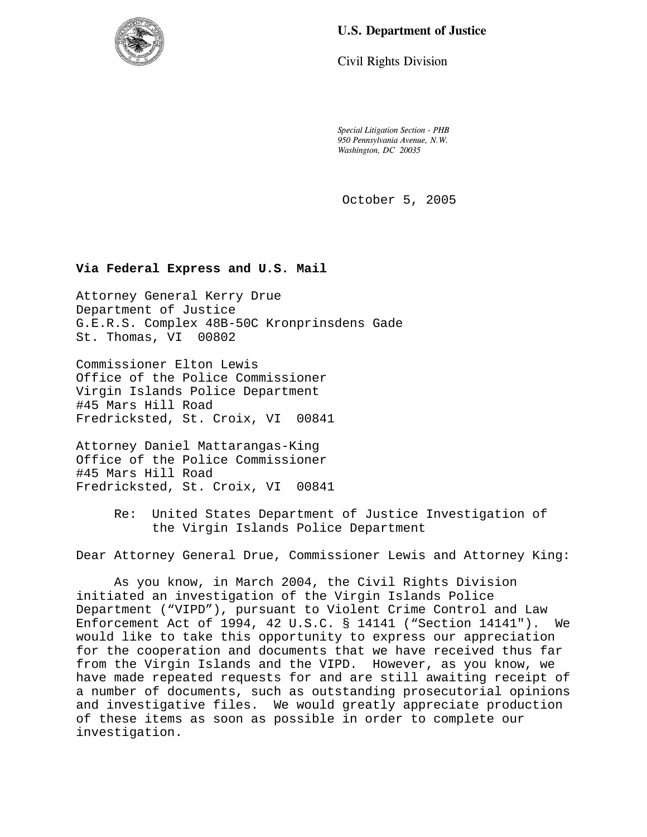# **U.S. Department of Justice**

Civil Rights Division

*Special Litigation Section - PHB 950 Pennsylvania Avenue, N.W. Washington, DC 20035* 

October 5, 2005

## **Via Federal Express and U.S. Mail**

Attorney General Kerry Drue Department of Justice G.E.R.S. Complex 48B-50C Kronprinsdens Gade St. Thomas, VI 00802

Commissioner Elton Lewis Office of the Police Commissioner Virgin Islands Police Department #45 Mars Hill Road Fredricksted, St. Croix, VI 00841

Attorney Daniel Mattarangas-King Office of the Police Commissioner #45 Mars Hill Road Fredricksted, St. Croix, VI 00841

> Re: United States Department of Justice Investigation of the Virgin Islands Police Department

Dear Attorney General Drue, Commissioner Lewis and Attorney King:

As you know, in March 2004, the Civil Rights Division initiated an investigation of the Virgin Islands Police Department ("VIPD"), pursuant to Violent Crime Control and Law Enforcement Act of 1994, 42 U.S.C. § 14141 ("Section 14141"). We would like to take this opportunity to express our appreciation for the cooperation and documents that we have received thus far from the Virgin Islands and the VIPD. However, as you know, we have made repeated requests for and are still awaiting receipt of a number of documents, such as outstanding prosecutorial opinions and investigative files. We would greatly appreciate production of these items as soon as possible in order to complete our investigation.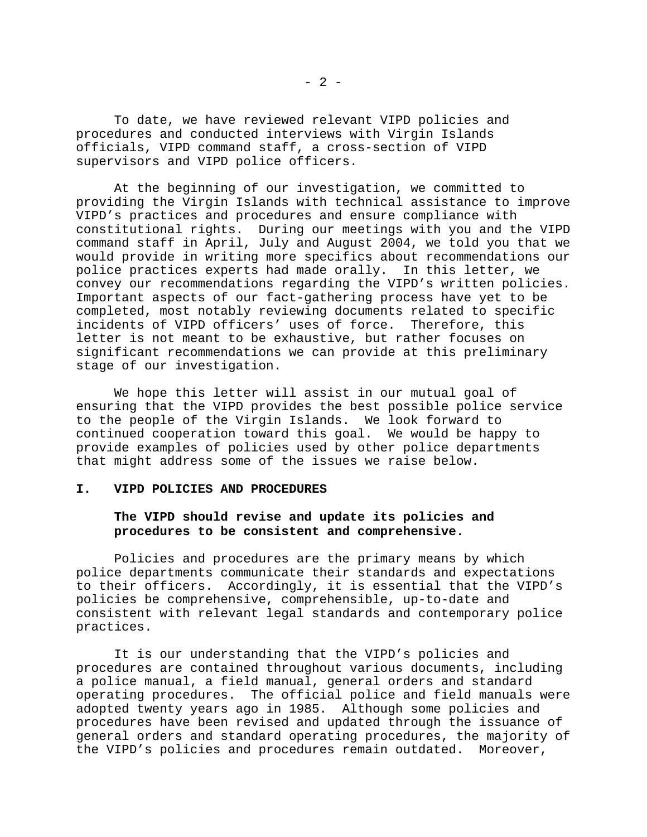To date, we have reviewed relevant VIPD policies and procedures and conducted interviews with Virgin Islands officials, VIPD command staff, a cross-section of VIPD supervisors and VIPD police officers.

At the beginning of our investigation, we committed to providing the Virgin Islands with technical assistance to improve VIPD's practices and procedures and ensure compliance with constitutional rights. During our meetings with you and the VIPD command staff in April, July and August 2004, we told you that we would provide in writing more specifics about recommendations our police practices experts had made orally. In this letter, we convey our recommendations regarding the VIPD's written policies. Important aspects of our fact-gathering process have yet to be completed, most notably reviewing documents related to specific incidents of VIPD officers' uses of force. Therefore, this letter is not meant to be exhaustive, but rather focuses on significant recommendations we can provide at this preliminary stage of our investigation.

We hope this letter will assist in our mutual goal of ensuring that the VIPD provides the best possible police service to the people of the Virgin Islands. We look forward to continued cooperation toward this goal. We would be happy to provide examples of policies used by other police departments that might address some of the issues we raise below.

#### **I. VIPD POLICIES AND PROCEDURES**

## **The VIPD should revise and update its policies and procedures to be consistent and comprehensive.**

Policies and procedures are the primary means by which police departments communicate their standards and expectations to their officers. Accordingly, it is essential that the VIPD's policies be comprehensive, comprehensible, up-to-date and consistent with relevant legal standards and contemporary police practices.

It is our understanding that the VIPD's policies and procedures are contained throughout various documents, including a police manual, a field manual, general orders and standard operating procedures. The official police and field manuals were adopted twenty years ago in 1985. Although some policies and procedures have been revised and updated through the issuance of general orders and standard operating procedures, the majority of the VIPD's policies and procedures remain outdated. Moreover,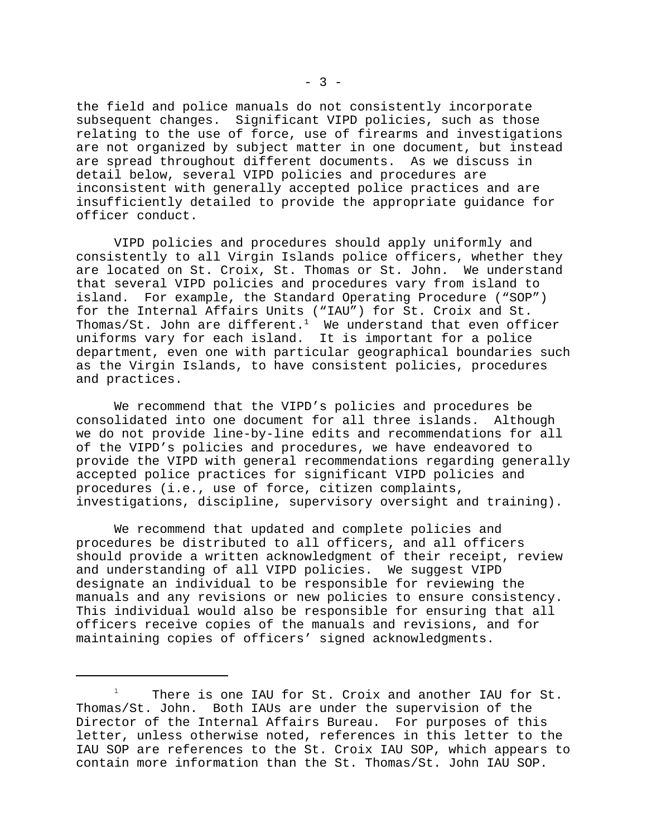the field and police manuals do not consistently incorporate subsequent changes. Significant VIPD policies, such as those relating to the use of force, use of firearms and investigations are not organized by subject matter in one document, but instead are spread throughout different documents. As we discuss in detail below, several VIPD policies and procedures are inconsistent with generally accepted police practices and are insufficiently detailed to provide the appropriate guidance for officer conduct.

VIPD policies and procedures should apply uniformly and consistently to all Virgin Islands police officers, whether they are located on St. Croix, St. Thomas or St. John. We understand that several VIPD policies and procedures vary from island to island. For example, the Standard Operating Procedure ("SOP") for the Internal Affairs Units ("IAU") for St. Croix and St. Thomas/St. John are different.<sup>1</sup> We understand that even officer uniforms vary for each island. It is important for a police department, even one with particular geographical boundaries such as the Virgin Islands, to have consistent policies, procedures and practices.

We recommend that the VIPD's policies and procedures be consolidated into one document for all three islands. Although we do not provide line-by-line edits and recommendations for all of the VIPD's policies and procedures, we have endeavored to provide the VIPD with general recommendations regarding generally accepted police practices for significant VIPD policies and procedures (i.e., use of force, citizen complaints, investigations, discipline, supervisory oversight and training).

We recommend that updated and complete policies and procedures be distributed to all officers, and all officers should provide a written acknowledgment of their receipt, review and understanding of all VIPD policies. We suggest VIPD designate an individual to be responsible for reviewing the manuals and any revisions or new policies to ensure consistency. This individual would also be responsible for ensuring that all officers receive copies of the manuals and revisions, and for maintaining copies of officers' signed acknowledgments.

 $1$  There is one IAU for St. Croix and another IAU for St. Thomas/St. John. Both IAUs are under the supervision of the Director of the Internal Affairs Bureau. For purposes of this letter, unless otherwise noted, references in this letter to the IAU SOP are references to the St. Croix IAU SOP, which appears to contain more information than the St. Thomas/St. John IAU SOP.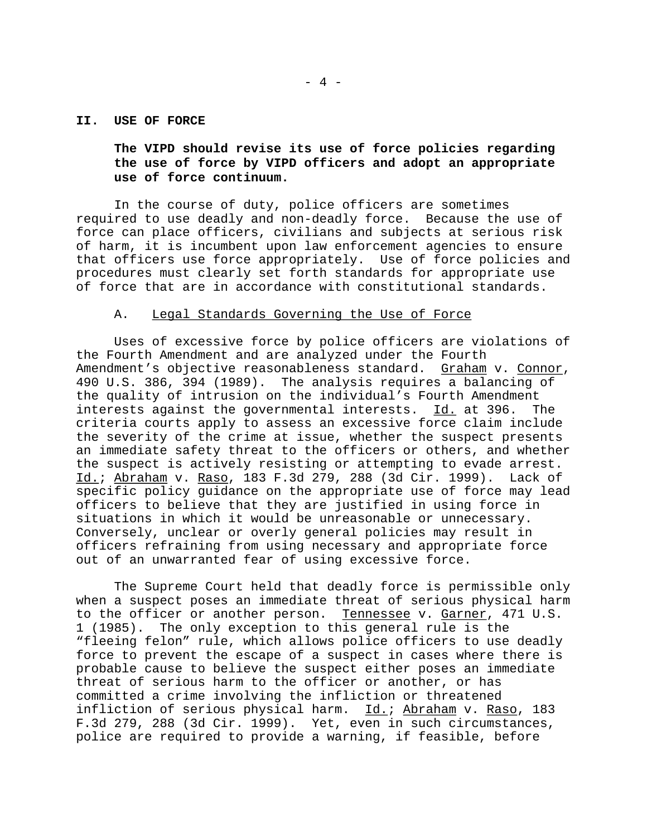#### **II. USE OF FORCE**

**The VIPD should revise its use of force policies regarding the use of force by VIPD officers and adopt an appropriate use of force continuum.** 

In the course of duty, police officers are sometimes required to use deadly and non-deadly force. Because the use of force can place officers, civilians and subjects at serious risk of harm, it is incumbent upon law enforcement agencies to ensure that officers use force appropriately. Use of force policies and procedures must clearly set forth standards for appropriate use of force that are in accordance with constitutional standards.

#### A. Legal Standards Governing the Use of Force

Uses of excessive force by police officers are violations of the Fourth Amendment and are analyzed under the Fourth Amendment's objective reasonableness standard. Graham v. Connor, 490 U.S. 386, 394 (1989). The analysis requires a balancing of the quality of intrusion on the individual's Fourth Amendment interests against the governmental interests. Id. at 396. The criteria courts apply to assess an excessive force claim include the severity of the crime at issue, whether the suspect presents an immediate safety threat to the officers or others, and whether the suspect is actively resisting or attempting to evade arrest. Id.; Abraham v. Raso, 183 F.3d 279, 288 (3d Cir. 1999). Lack of specific policy guidance on the appropriate use of force may lead officers to believe that they are justified in using force in situations in which it would be unreasonable or unnecessary. Conversely, unclear or overly general policies may result in officers refraining from using necessary and appropriate force out of an unwarranted fear of using excessive force.

The Supreme Court held that deadly force is permissible only when a suspect poses an immediate threat of serious physical harm to the officer or another person. Tennessee v. Garner, 471 U.S. 1 (1985). The only exception to this general rule is the "fleeing felon" rule, which allows police officers to use deadly force to prevent the escape of a suspect in cases where there is probable cause to believe the suspect either poses an immediate threat of serious harm to the officer or another, or has committed a crime involving the infliction or threatened infliction of serious physical harm. Id.; Abraham v. Raso, 183 F.3d 279, 288 (3d Cir. 1999). Yet, even in such circumstances, police are required to provide a warning, if feasible, before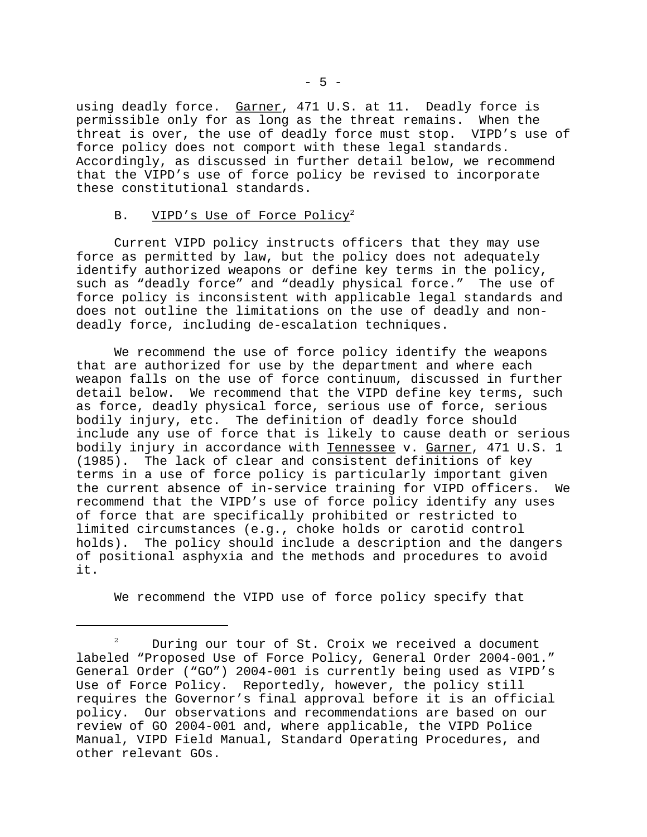using deadly force. Garner, 471 U.S. at 11. Deadly force is permissible only for as long as the threat remains. When the threat is over, the use of deadly force must stop. VIPD's use of force policy does not comport with these legal standards. Accordingly, as discussed in further detail below, we recommend that the VIPD's use of force policy be revised to incorporate these constitutional standards.

#### B. VIPD's Use of Force Policy<sup>2</sup>

Current VIPD policy instructs officers that they may use force as permitted by law, but the policy does not adequately identify authorized weapons or define key terms in the policy, such as "deadly force" and "deadly physical force." The use of force policy is inconsistent with applicable legal standards and does not outline the limitations on the use of deadly and nondeadly force, including de-escalation techniques.

We recommend the use of force policy identify the weapons that are authorized for use by the department and where each weapon falls on the use of force continuum, discussed in further detail below. We recommend that the VIPD define key terms, such as force, deadly physical force, serious use of force, serious bodily injury, etc. The definition of deadly force should include any use of force that is likely to cause death or serious bodily injury in accordance with Tennessee v. Garner, 471 U.S. 1 (1985). The lack of clear and consistent definitions of key terms in a use of force policy is particularly important given the current absence of in-service training for VIPD officers. We recommend that the VIPD's use of force policy identify any uses of force that are specifically prohibited or restricted to limited circumstances (e.g., choke holds or carotid control holds). The policy should include a description and the dangers of positional asphyxia and the methods and procedures to avoid it.

We recommend the VIPD use of force policy specify that

 $2^2$  During our tour of St. Croix we received a document labeled "Proposed Use of Force Policy, General Order 2004-001." General Order ("GO") 2004-001 is currently being used as VIPD's Use of Force Policy. Reportedly, however, the policy still requires the Governor's final approval before it is an official policy. Our observations and recommendations are based on our review of GO 2004-001 and, where applicable, the VIPD Police Manual, VIPD Field Manual, Standard Operating Procedures, and other relevant GOs.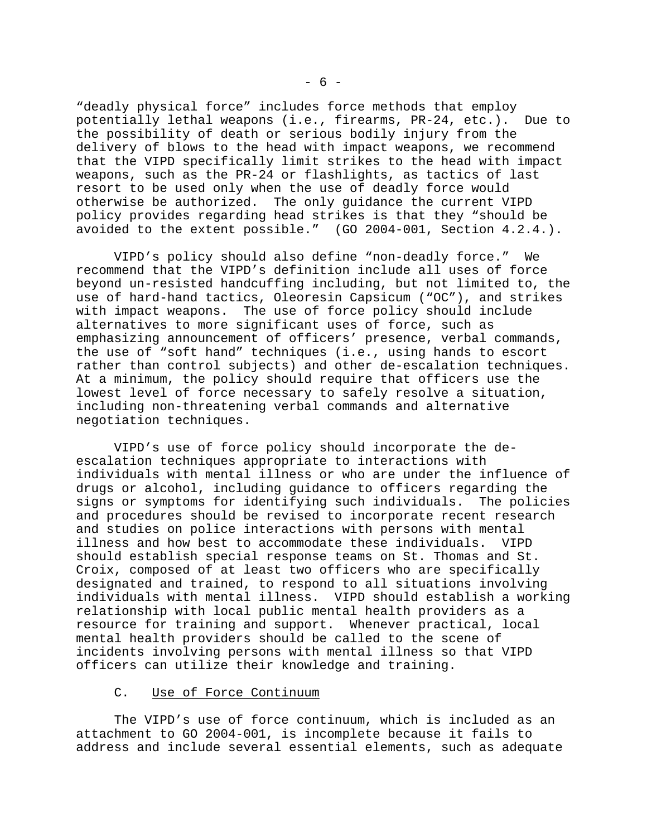"deadly physical force" includes force methods that employ potentially lethal weapons (i.e., firearms, PR-24, etc.). Due to the possibility of death or serious bodily injury from the delivery of blows to the head with impact weapons, we recommend that the VIPD specifically limit strikes to the head with impact weapons, such as the PR-24 or flashlights, as tactics of last resort to be used only when the use of deadly force would otherwise be authorized. The only guidance the current VIPD policy provides regarding head strikes is that they "should be avoided to the extent possible." (GO 2004-001, Section 4.2.4.).

VIPD's policy should also define "non-deadly force." We recommend that the VIPD's definition include all uses of force beyond un-resisted handcuffing including, but not limited to, the use of hard-hand tactics, Oleoresin Capsicum ("OC"), and strikes with impact weapons. The use of force policy should include alternatives to more significant uses of force, such as emphasizing announcement of officers' presence, verbal commands, the use of "soft hand" techniques (i.e., using hands to escort rather than control subjects) and other de-escalation techniques. At a minimum, the policy should require that officers use the lowest level of force necessary to safely resolve a situation, including non-threatening verbal commands and alternative negotiation techniques.

VIPD's use of force policy should incorporate the deescalation techniques appropriate to interactions with individuals with mental illness or who are under the influence of drugs or alcohol, including guidance to officers regarding the<br>signs or symptoms for identifying such individuals. The policies signs or symptoms for identifying such individuals. and procedures should be revised to incorporate recent research and studies on police interactions with persons with mental illness and how best to accommodate these individuals. VIPD should establish special response teams on St. Thomas and St. Croix, composed of at least two officers who are specifically designated and trained, to respond to all situations involving individuals with mental illness. VIPD should establish a working relationship with local public mental health providers as a resource for training and support. Whenever practical, local mental health providers should be called to the scene of incidents involving persons with mental illness so that VIPD officers can utilize their knowledge and training.

#### C. Use of Force Continuum

The VIPD's use of force continuum, which is included as an attachment to GO 2004-001, is incomplete because it fails to address and include several essential elements, such as adequate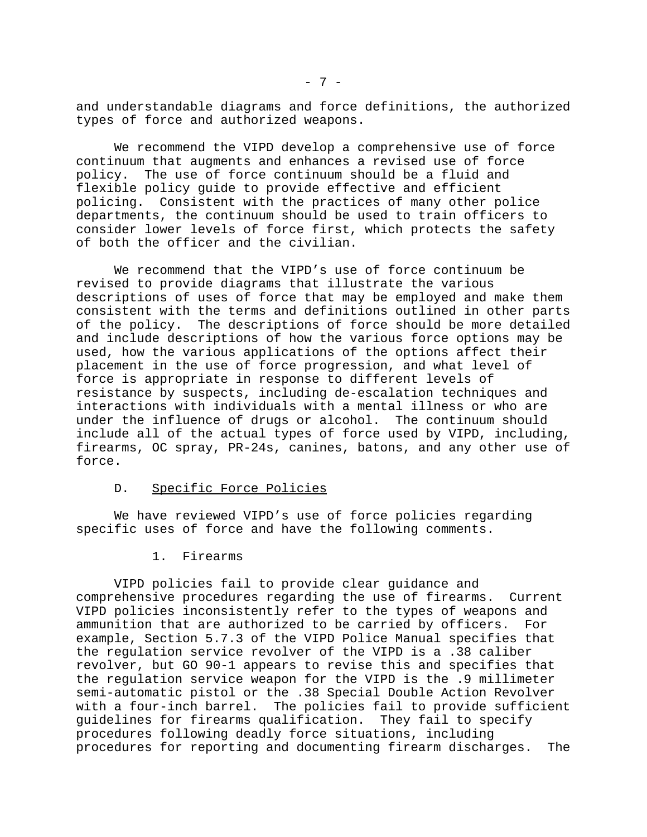and understandable diagrams and force definitions, the authorized types of force and authorized weapons.

We recommend the VIPD develop a comprehensive use of force continuum that augments and enhances a revised use of force policy. The use of force continuum should be a fluid and flexible policy guide to provide effective and efficient policing. Consistent with the practices of many other police departments, the continuum should be used to train officers to consider lower levels of force first, which protects the safety of both the officer and the civilian.

We recommend that the VIPD's use of force continuum be revised to provide diagrams that illustrate the various descriptions of uses of force that may be employed and make them consistent with the terms and definitions outlined in other parts of the policy. The descriptions of force should be more detailed and include descriptions of how the various force options may be used, how the various applications of the options affect their placement in the use of force progression, and what level of force is appropriate in response to different levels of resistance by suspects, including de-escalation techniques and interactions with individuals with a mental illness or who are under the influence of drugs or alcohol. The continuum should include all of the actual types of force used by VIPD, including, firearms, OC spray, PR-24s, canines, batons, and any other use of force.

#### D. Specific Force Policies

We have reviewed VIPD's use of force policies regarding specific uses of force and have the following comments.

1. Firearms

VIPD policies fail to provide clear guidance and comprehensive procedures regarding the use of firearms. Current VIPD policies inconsistently refer to the types of weapons and ammunition that are authorized to be carried by officers. For example, Section 5.7.3 of the VIPD Police Manual specifies that the regulation service revolver of the VIPD is a .38 caliber revolver, but GO 90-1 appears to revise this and specifies that the regulation service weapon for the VIPD is the .9 millimeter semi-automatic pistol or the .38 Special Double Action Revolver with a four-inch barrel. The policies fail to provide sufficient guidelines for firearms qualification. They fail to specify procedures following deadly force situations, including procedures for reporting and documenting firearm discharges. The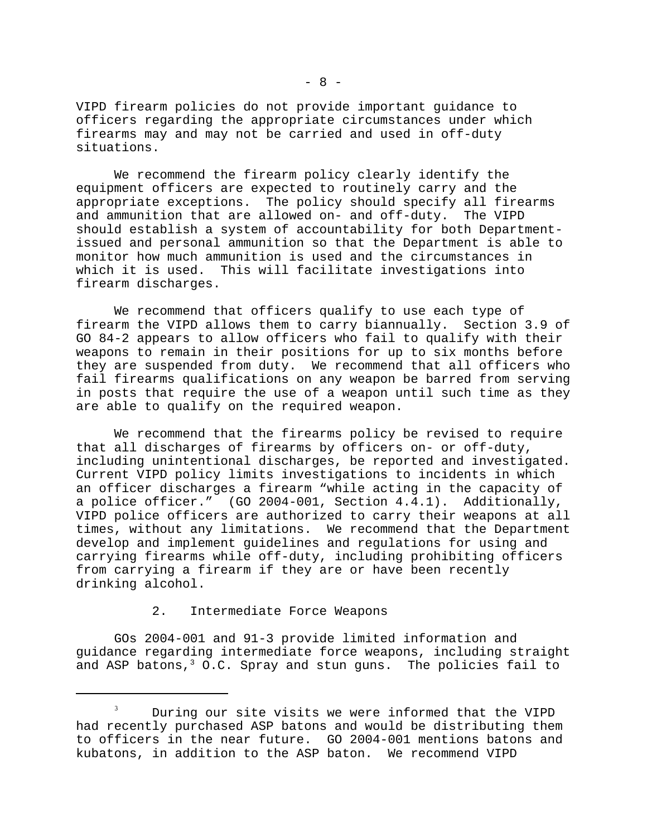VIPD firearm policies do not provide important guidance to officers regarding the appropriate circumstances under which firearms may and may not be carried and used in off-duty situations.

We recommend the firearm policy clearly identify the equipment officers are expected to routinely carry and the appropriate exceptions. The policy should specify all firearms and ammunition that are allowed on- and off-duty. The VIPD should establish a system of accountability for both Departmentissued and personal ammunition so that the Department is able to monitor how much ammunition is used and the circumstances in which it is used. This will facilitate investigations into firearm discharges.

We recommend that officers qualify to use each type of firearm the VIPD allows them to carry biannually. Section 3.9 of GO 84-2 appears to allow officers who fail to qualify with their weapons to remain in their positions for up to six months before they are suspended from duty. We recommend that all officers who fail firearms qualifications on any weapon be barred from serving in posts that require the use of a weapon until such time as they are able to qualify on the required weapon.

We recommend that the firearms policy be revised to require that all discharges of firearms by officers on- or off-duty, including unintentional discharges, be reported and investigated. Current VIPD policy limits investigations to incidents in which an officer discharges a firearm "while acting in the capacity of a police officer." (GO 2004-001, Section 4.4.1). Additionally, VIPD police officers are authorized to carry their weapons at all times, without any limitations. We recommend that the Department develop and implement guidelines and regulations for using and carrying firearms while off-duty, including prohibiting officers from carrying a firearm if they are or have been recently drinking alcohol.

2. Intermediate Force Weapons

GOs 2004-001 and 91-3 provide limited information and guidance regarding intermediate force weapons, including straight and ASP batons,  $3$  O.C. Spray and stun guns. The policies fail to

<sup>&</sup>lt;sup>3</sup> During our site visits we were informed that the VIPD had recently purchased ASP batons and would be distributing them to officers in the near future. GO 2004-001 mentions batons and kubatons, in addition to the ASP baton. We recommend VIPD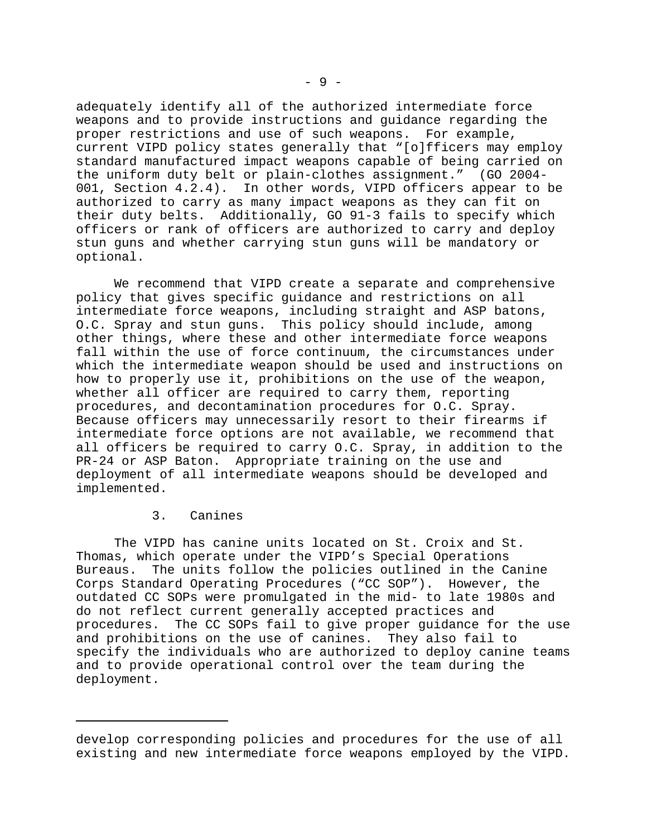adequately identify all of the authorized intermediate force weapons and to provide instructions and guidance regarding the proper restrictions and use of such weapons. For example, current VIPD policy states generally that "[o]fficers may employ standard manufactured impact weapons capable of being carried on the uniform duty belt or plain-clothes assignment." (GO 2004- 001, Section 4.2.4). In other words, VIPD officers appear to be authorized to carry as many impact weapons as they can fit on their duty belts. Additionally, GO 91-3 fails to specify which officers or rank of officers are authorized to carry and deploy stun guns and whether carrying stun guns will be mandatory or optional.

We recommend that VIPD create a separate and comprehensive policy that gives specific guidance and restrictions on all intermediate force weapons, including straight and ASP batons, O.C. Spray and stun guns. This policy should include, among other things, where these and other intermediate force weapons fall within the use of force continuum, the circumstances under which the intermediate weapon should be used and instructions on how to properly use it, prohibitions on the use of the weapon, whether all officer are required to carry them, reporting procedures, and decontamination procedures for O.C. Spray. Because officers may unnecessarily resort to their firearms if intermediate force options are not available, we recommend that all officers be required to carry O.C. Spray, in addition to the PR-24 or ASP Baton. Appropriate training on the use and deployment of all intermediate weapons should be developed and implemented.

#### 3. Canines

The VIPD has canine units located on St. Croix and St. Thomas, which operate under the VIPD's Special Operations Bureaus. The units follow the policies outlined in the Canine Corps Standard Operating Procedures ("CC SOP"). However, the outdated CC SOPs were promulgated in the mid- to late 1980s and do not reflect current generally accepted practices and procedures. The CC SOPs fail to give proper guidance for the use and prohibitions on the use of canines. They also fail to specify the individuals who are authorized to deploy canine teams and to provide operational control over the team during the deployment.

develop corresponding policies and procedures for the use of all existing and new intermediate force weapons employed by the VIPD.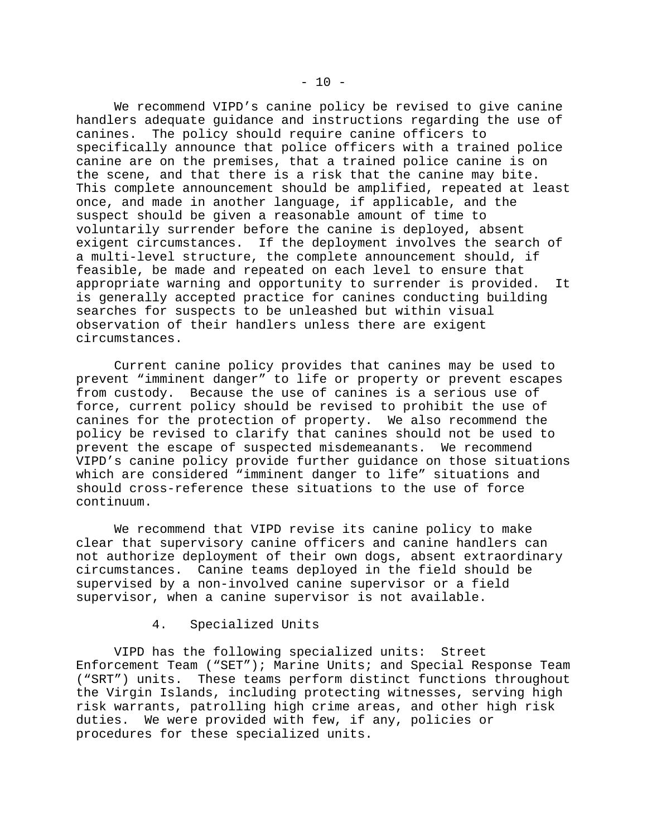We recommend VIPD's canine policy be revised to give canine handlers adequate guidance and instructions regarding the use of canines. The policy should require canine officers to The policy should require canine officers to specifically announce that police officers with a trained police canine are on the premises, that a trained police canine is on the scene, and that there is a risk that the canine may bite. This complete announcement should be amplified, repeated at least once, and made in another language, if applicable, and the suspect should be given a reasonable amount of time to voluntarily surrender before the canine is deployed, absent exigent circumstances. If the deployment involves the search of a multi-level structure, the complete announcement should, if feasible, be made and repeated on each level to ensure that appropriate warning and opportunity to surrender is provided. It is generally accepted practice for canines conducting building searches for suspects to be unleashed but within visual observation of their handlers unless there are exigent circumstances.

Current canine policy provides that canines may be used to prevent "imminent danger" to life or property or prevent escapes from custody. Because the use of canines is a serious use of force, current policy should be revised to prohibit the use of canines for the protection of property. We also recommend the policy be revised to clarify that canines should not be used to prevent the escape of suspected misdemeanants. We recommend VIPD's canine policy provide further guidance on those situations which are considered "imminent danger to life" situations and should cross-reference these situations to the use of force continuum.

We recommend that VIPD revise its canine policy to make clear that supervisory canine officers and canine handlers can not authorize deployment of their own dogs, absent extraordinary circumstances. Canine teams deployed in the field should be supervised by a non-involved canine supervisor or a field supervisor, when a canine supervisor is not available.

#### 4. Specialized Units

VIPD has the following specialized units: Street Enforcement Team ("SET"); Marine Units; and Special Response Team ("SRT") units. These teams perform distinct functions throughout the Virgin Islands, including protecting witnesses, serving high risk warrants, patrolling high crime areas, and other high risk duties. We were provided with few, if any, policies or procedures for these specialized units.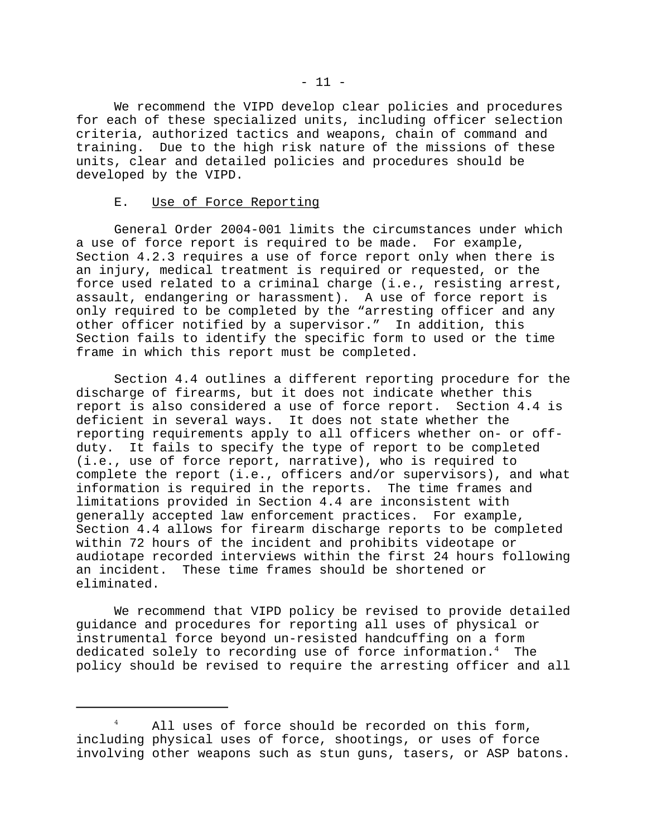We recommend the VIPD develop clear policies and procedures for each of these specialized units, including officer selection criteria, authorized tactics and weapons, chain of command and training. Due to the high risk nature of the missions of these units, clear and detailed policies and procedures should be developed by the VIPD.

#### E. Use of Force Reporting

General Order 2004-001 limits the circumstances under which a use of force report is required to be made. For example, Section 4.2.3 requires a use of force report only when there is an injury, medical treatment is required or requested, or the force used related to a criminal charge (i.e., resisting arrest, assault, endangering or harassment). A use of force report is only required to be completed by the "arresting officer and any other officer notified by a supervisor." In addition, this Section fails to identify the specific form to used or the time frame in which this report must be completed.

Section 4.4 outlines a different reporting procedure for the discharge of firearms, but it does not indicate whether this report is also considered a use of force report. Section 4.4 is deficient in several ways. It does not state whether the reporting requirements apply to all officers whether on- or offduty. It fails to specify the type of report to be completed (i.e., use of force report, narrative), who is required to complete the report (i.e., officers and/or supervisors), and what information is required in the reports. The time frames and limitations provided in Section 4.4 are inconsistent with generally accepted law enforcement practices. For example, Section 4.4 allows for firearm discharge reports to be completed within 72 hours of the incident and prohibits videotape or audiotape recorded interviews within the first 24 hours following an incident. These time frames should be shortened or eliminated.

We recommend that VIPD policy be revised to provide detailed guidance and procedures for reporting all uses of physical or instrumental force beyond un-resisted handcuffing on a form dedicated solely to recording use of force information.<sup>4</sup> The policy should be revised to require the arresting officer and all

<sup>&</sup>lt;sup>4</sup> All uses of force should be recorded on this form, including physical uses of force, shootings, or uses of force involving other weapons such as stun guns, tasers, or ASP batons.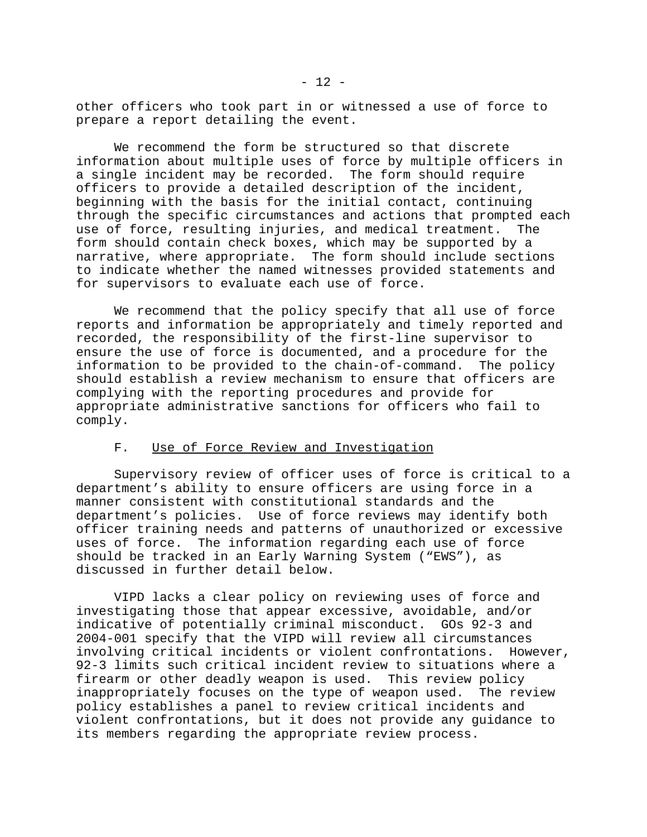other officers who took part in or witnessed a use of force to prepare a report detailing the event.

We recommend the form be structured so that discrete information about multiple uses of force by multiple officers in a single incident may be recorded. The form should require officers to provide a detailed description of the incident, beginning with the basis for the initial contact, continuing through the specific circumstances and actions that prompted each use of force, resulting injuries, and medical treatment. The form should contain check boxes, which may be supported by a narrative, where appropriate. The form should include sections to indicate whether the named witnesses provided statements and for supervisors to evaluate each use of force.

We recommend that the policy specify that all use of force reports and information be appropriately and timely reported and recorded, the responsibility of the first-line supervisor to ensure the use of force is documented, and a procedure for the information to be provided to the chain-of-command. The policy should establish a review mechanism to ensure that officers are complying with the reporting procedures and provide for appropriate administrative sanctions for officers who fail to comply.

#### F. Use of Force Review and Investigation

Supervisory review of officer uses of force is critical to a department's ability to ensure officers are using force in a manner consistent with constitutional standards and the department's policies. Use of force reviews may identify both officer training needs and patterns of unauthorized or excessive uses of force. The information regarding each use of force should be tracked in an Early Warning System ("EWS"), as discussed in further detail below.

VIPD lacks a clear policy on reviewing uses of force and investigating those that appear excessive, avoidable, and/or indicative of potentially criminal misconduct. GOs 92-3 and 2004-001 specify that the VIPD will review all circumstances involving critical incidents or violent confrontations. However, 92-3 limits such critical incident review to situations where a firearm or other deadly weapon is used. This review policy inappropriately focuses on the type of weapon used. The review policy establishes a panel to review critical incidents and violent confrontations, but it does not provide any guidance to its members regarding the appropriate review process.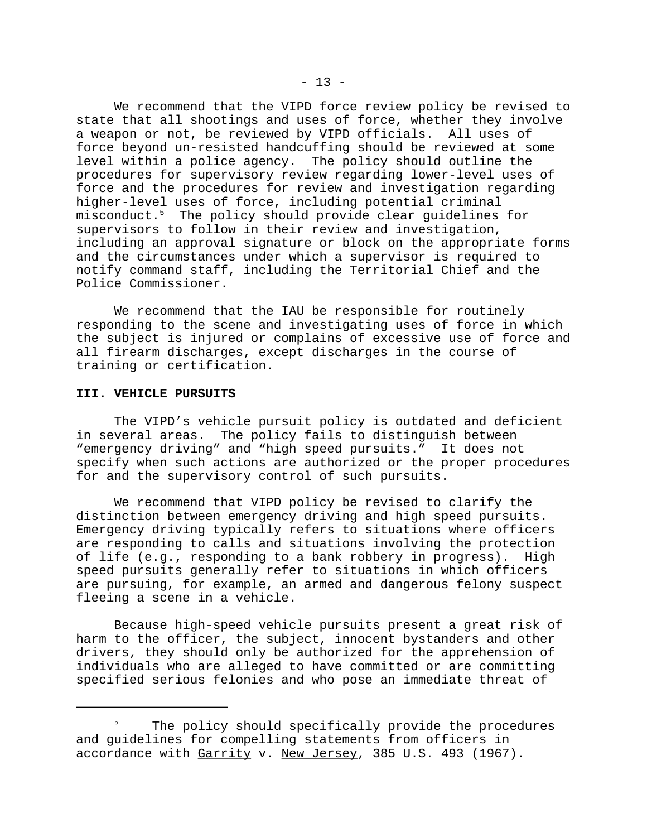We recommend that the VIPD force review policy be revised to state that all shootings and uses of force, whether they involve a weapon or not, be reviewed by VIPD officials. All uses of force beyond un-resisted handcuffing should be reviewed at some level within a police agency. The policy should outline the procedures for supervisory review regarding lower-level uses of force and the procedures for review and investigation regarding higher-level uses of force, including potential criminal misconduct.5 The policy should provide clear guidelines for supervisors to follow in their review and investigation, including an approval signature or block on the appropriate forms and the circumstances under which a supervisor is required to notify command staff, including the Territorial Chief and the Police Commissioner.

We recommend that the IAU be responsible for routinely responding to the scene and investigating uses of force in which the subject is injured or complains of excessive use of force and all firearm discharges, except discharges in the course of training or certification.

#### **III. VEHICLE PURSUITS**

The VIPD's vehicle pursuit policy is outdated and deficient in several areas. The policy fails to distinguish between "emergency driving" and "high speed pursuits." It does not specify when such actions are authorized or the proper procedures for and the supervisory control of such pursuits.

We recommend that VIPD policy be revised to clarify the distinction between emergency driving and high speed pursuits. Emergency driving typically refers to situations where officers are responding to calls and situations involving the protection of life (e.g., responding to a bank robbery in progress). High speed pursuits generally refer to situations in which officers are pursuing, for example, an armed and dangerous felony suspect fleeing a scene in a vehicle.

Because high-speed vehicle pursuits present a great risk of harm to the officer, the subject, innocent bystanders and other drivers, they should only be authorized for the apprehension of individuals who are alleged to have committed or are committing specified serious felonies and who pose an immediate threat of

<sup>&</sup>lt;sup>5</sup> The policy should specifically provide the procedures and guidelines for compelling statements from officers in accordance with Garrity v. New Jersey, 385 U.S. 493 (1967).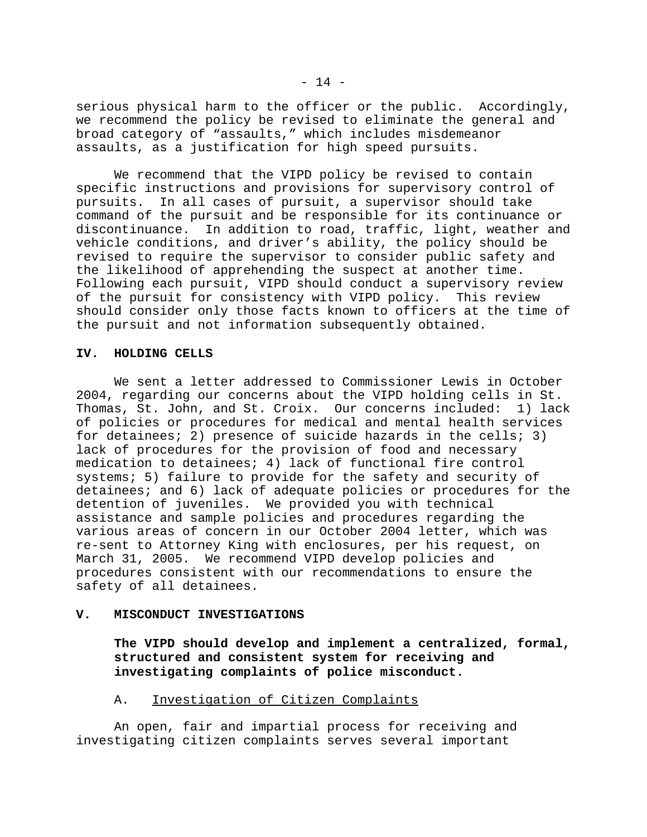serious physical harm to the officer or the public. Accordingly, we recommend the policy be revised to eliminate the general and broad category of "assaults," which includes misdemeanor assaults, as a justification for high speed pursuits.

We recommend that the VIPD policy be revised to contain specific instructions and provisions for supervisory control of pursuits. In all cases of pursuit, a supervisor should take command of the pursuit and be responsible for its continuance or discontinuance. In addition to road, traffic, light, weather and vehicle conditions, and driver's ability, the policy should be revised to require the supervisor to consider public safety and the likelihood of apprehending the suspect at another time. Following each pursuit, VIPD should conduct a supervisory review of the pursuit for consistency with VIPD policy. This review should consider only those facts known to officers at the time of the pursuit and not information subsequently obtained.

#### **IV. HOLDING CELLS**

We sent a letter addressed to Commissioner Lewis in October 2004, regarding our concerns about the VIPD holding cells in St. Thomas, St. John, and St. Croix. Our concerns included: 1) lack of policies or procedures for medical and mental health services for detainees; 2) presence of suicide hazards in the cells; 3) lack of procedures for the provision of food and necessary medication to detainees; 4) lack of functional fire control systems; 5) failure to provide for the safety and security of detainees; and 6) lack of adequate policies or procedures for the detention of juveniles. We provided you with technical assistance and sample policies and procedures regarding the various areas of concern in our October 2004 letter, which was re-sent to Attorney King with enclosures, per his request, on March 31, 2005. We recommend VIPD develop policies and procedures consistent with our recommendations to ensure the safety of all detainees.

#### **V. MISCONDUCT INVESTIGATIONS**

**The VIPD should develop and implement a centralized, formal, structured and consistent system for receiving and investigating complaints of police misconduct.** 

#### A. Investigation of Citizen Complaints

An open, fair and impartial process for receiving and investigating citizen complaints serves several important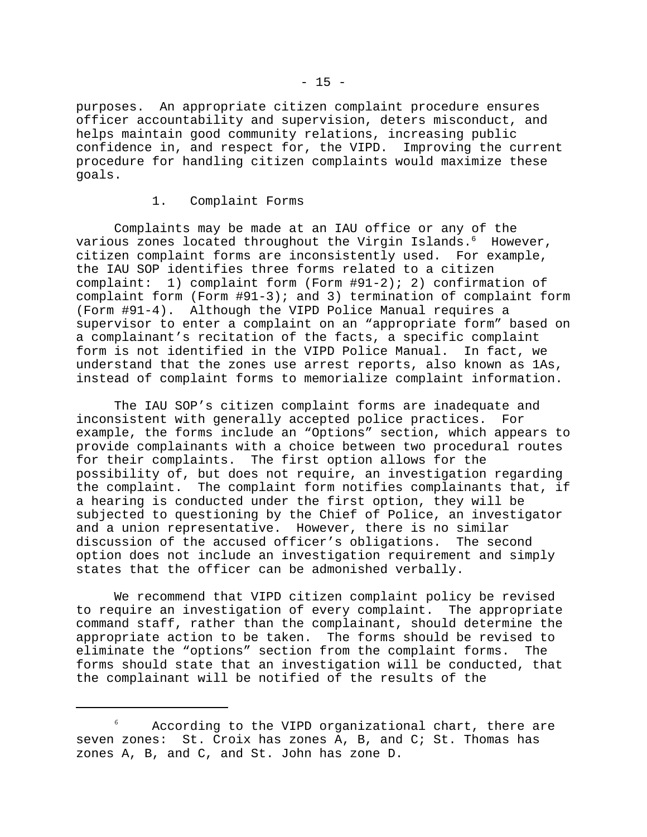purposes. An appropriate citizen complaint procedure ensures officer accountability and supervision, deters misconduct, and helps maintain good community relations, increasing public confidence in, and respect for, the VIPD. Improving the current procedure for handling citizen complaints would maximize these goals.

#### 1. Complaint Forms

Complaints may be made at an IAU office or any of the various zones located throughout the Virgin Islands.<sup>6</sup> However, citizen complaint forms are inconsistently used. For example, the IAU SOP identifies three forms related to a citizen complaint: 1) complaint form (Form #91-2); 2) confirmation of complaint form (Form #91-3); and 3) termination of complaint form (Form #91-4). Although the VIPD Police Manual requires a supervisor to enter a complaint on an "appropriate form" based on a complainant's recitation of the facts, a specific complaint form is not identified in the VIPD Police Manual. In fact, we understand that the zones use arrest reports, also known as 1As, instead of complaint forms to memorialize complaint information.

The IAU SOP's citizen complaint forms are inadequate and inconsistent with generally accepted police practices. For example, the forms include an "Options" section, which appears to provide complainants with a choice between two procedural routes for their complaints. The first option allows for the possibility of, but does not require, an investigation regarding the complaint. The complaint form notifies complainants that, if a hearing is conducted under the first option, they will be subjected to questioning by the Chief of Police, an investigator and a union representative. However, there is no similar discussion of the accused officer's obligations. The second option does not include an investigation requirement and simply states that the officer can be admonished verbally.

We recommend that VIPD citizen complaint policy be revised to require an investigation of every complaint. The appropriate command staff, rather than the complainant, should determine the appropriate action to be taken. The forms should be revised to eliminate the "options" section from the complaint forms. The forms should state that an investigation will be conducted, that the complainant will be notified of the results of the

According to the VIPD organizational chart, there are seven zones: St. Croix has zones A, B, and C; St. Thomas has zones A, B, and C, and St. John has zone D.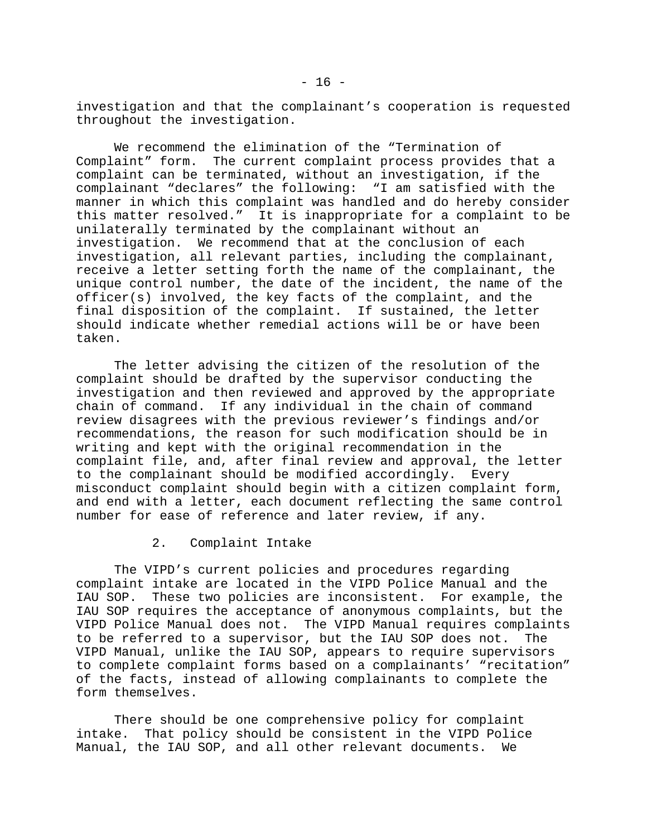investigation and that the complainant's cooperation is requested throughout the investigation.

We recommend the elimination of the "Termination of Complaint" form. The current complaint process provides that a complaint can be terminated, without an investigation, if the complainant "declares" the following: "I am satisfied with the manner in which this complaint was handled and do hereby consider this matter resolved." It is inappropriate for a complaint to be unilaterally terminated by the complainant without an investigation. We recommend that at the conclusion of each investigation, all relevant parties, including the complainant, receive a letter setting forth the name of the complainant, the unique control number, the date of the incident, the name of the officer(s) involved, the key facts of the complaint, and the final disposition of the complaint. If sustained, the letter should indicate whether remedial actions will be or have been taken.

The letter advising the citizen of the resolution of the complaint should be drafted by the supervisor conducting the investigation and then reviewed and approved by the appropriate chain of command. If any individual in the chain of command review disagrees with the previous reviewer's findings and/or recommendations, the reason for such modification should be in writing and kept with the original recommendation in the complaint file, and, after final review and approval, the letter to the complainant should be modified accordingly. Every misconduct complaint should begin with a citizen complaint form, and end with a letter, each document reflecting the same control number for ease of reference and later review, if any.

2. Complaint Intake

The VIPD's current policies and procedures regarding complaint intake are located in the VIPD Police Manual and the IAU SOP. These two policies are inconsistent. For example, the IAU SOP requires the acceptance of anonymous complaints, but the VIPD Police Manual does not. The VIPD Manual requires complaints to be referred to a supervisor, but the IAU SOP does not. The VIPD Manual, unlike the IAU SOP, appears to require supervisors to complete complaint forms based on a complainants' "recitation" of the facts, instead of allowing complainants to complete the form themselves.

There should be one comprehensive policy for complaint intake. That policy should be consistent in the VIPD Police Manual, the IAU SOP, and all other relevant documents. We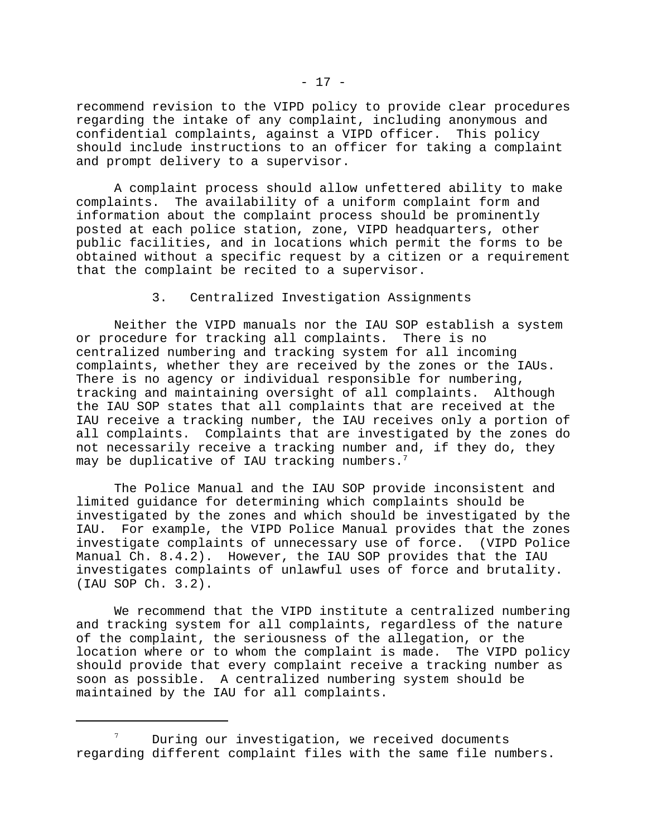recommend revision to the VIPD policy to provide clear procedures regarding the intake of any complaint, including anonymous and confidential complaints, against a VIPD officer. This policy should include instructions to an officer for taking a complaint and prompt delivery to a supervisor.

A complaint process should allow unfettered ability to make complaints. The availability of a uniform complaint form and information about the complaint process should be prominently posted at each police station, zone, VIPD headquarters, other public facilities, and in locations which permit the forms to be obtained without a specific request by a citizen or a requirement that the complaint be recited to a supervisor.

3. Centralized Investigation Assignments

Neither the VIPD manuals nor the IAU SOP establish a system or procedure for tracking all complaints. There is no centralized numbering and tracking system for all incoming complaints, whether they are received by the zones or the IAUs. There is no agency or individual responsible for numbering, tracking and maintaining oversight of all complaints. Although the IAU SOP states that all complaints that are received at the IAU receive a tracking number, the IAU receives only a portion of all complaints. Complaints that are investigated by the zones do not necessarily receive a tracking number and, if they do, they may be duplicative of IAU tracking numbers.<sup>7</sup>

The Police Manual and the IAU SOP provide inconsistent and limited guidance for determining which complaints should be investigated by the zones and which should be investigated by the IAU. For example, the VIPD Police Manual provides that the zones investigate complaints of unnecessary use of force. (VIPD Police Manual Ch. 8.4.2). However, the IAU SOP provides that the IAU investigates complaints of unlawful uses of force and brutality. (IAU SOP Ch. 3.2).

We recommend that the VIPD institute a centralized numbering and tracking system for all complaints, regardless of the nature of the complaint, the seriousness of the allegation, or the location where or to whom the complaint is made. The VIPD policy should provide that every complaint receive a tracking number as soon as possible. A centralized numbering system should be maintained by the IAU for all complaints.

 $7$  During our investigation, we received documents regarding different complaint files with the same file numbers.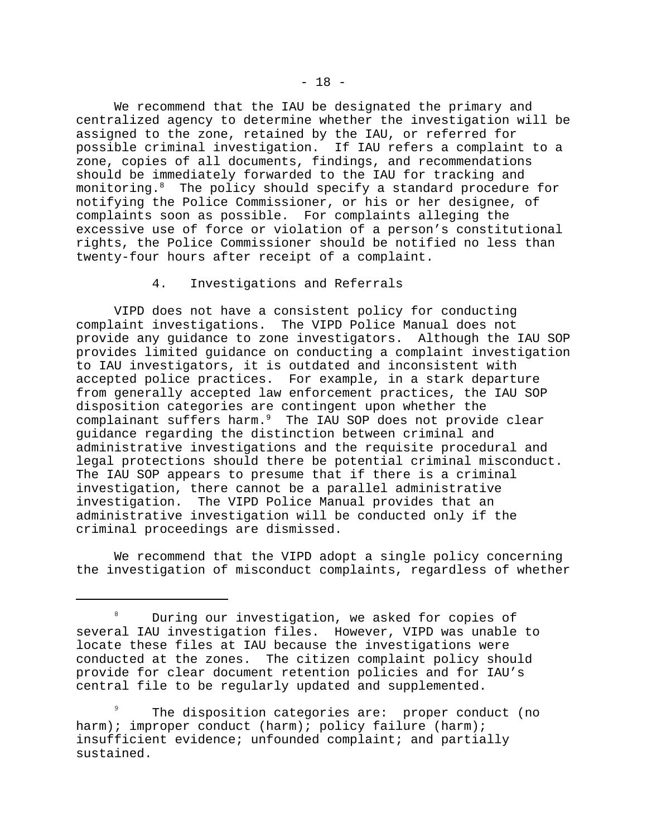We recommend that the IAU be designated the primary and centralized agency to determine whether the investigation will be assigned to the zone, retained by the IAU, or referred for possible criminal investigation. If IAU refers a complaint to a zone, copies of all documents, findings, and recommendations should be immediately forwarded to the IAU for tracking and monitoring.<sup>8</sup> The policy should specify a standard procedure for notifying the Police Commissioner, or his or her designee, of complaints soon as possible. For complaints alleging the excessive use of force or violation of a person's constitutional rights, the Police Commissioner should be notified no less than twenty-four hours after receipt of a complaint.

#### 4. Investigations and Referrals

VIPD does not have a consistent policy for conducting complaint investigations. The VIPD Police Manual does not provide any guidance to zone investigators. Although the IAU SOP provides limited guidance on conducting a complaint investigation to IAU investigators, it is outdated and inconsistent with accepted police practices. For example, in a stark departure from generally accepted law enforcement practices, the IAU SOP disposition categories are contingent upon whether the complainant suffers harm.<sup>9</sup> The IAU SOP does not provide clear guidance regarding the distinction between criminal and administrative investigations and the requisite procedural and legal protections should there be potential criminal misconduct. The IAU SOP appears to presume that if there is a criminal investigation, there cannot be a parallel administrative investigation. The VIPD Police Manual provides that an administrative investigation will be conducted only if the criminal proceedings are dismissed.

We recommend that the VIPD adopt a single policy concerning the investigation of misconduct complaints, regardless of whether

<sup>&</sup>lt;sup>8</sup> During our investigation, we asked for copies of several IAU investigation files. However, VIPD was unable to locate these files at IAU because the investigations were conducted at the zones. The citizen complaint policy should provide for clear document retention policies and for IAU's central file to be regularly updated and supplemented.

The disposition categories are: proper conduct (no harm); improper conduct (harm); policy failure (harm); insufficient evidence; unfounded complaint; and partially sustained.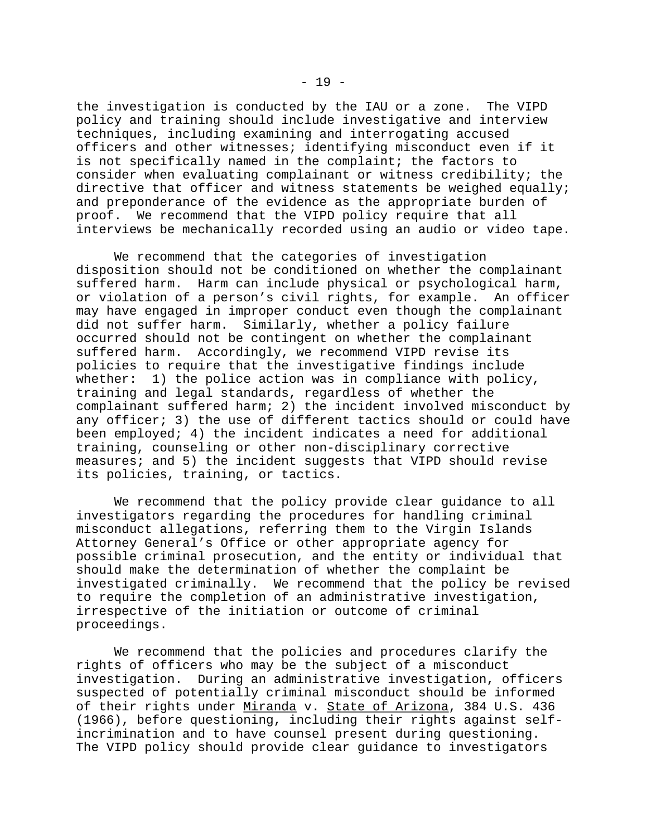the investigation is conducted by the IAU or a zone. The VIPD policy and training should include investigative and interview techniques, including examining and interrogating accused officers and other witnesses; identifying misconduct even if it is not specifically named in the complaint; the factors to consider when evaluating complainant or witness credibility; the directive that officer and witness statements be weighed equally; and preponderance of the evidence as the appropriate burden of proof. We recommend that the VIPD policy require that all interviews be mechanically recorded using an audio or video tape.

We recommend that the categories of investigation disposition should not be conditioned on whether the complainant suffered harm. Harm can include physical or psychological harm, or violation of a person's civil rights, for example. An officer may have engaged in improper conduct even though the complainant did not suffer harm. Similarly, whether a policy failure occurred should not be contingent on whether the complainant suffered harm. Accordingly, we recommend VIPD revise its policies to require that the investigative findings include whether: 1) the police action was in compliance with policy, training and legal standards, regardless of whether the complainant suffered harm; 2) the incident involved misconduct by any officer; 3) the use of different tactics should or could have been employed; 4) the incident indicates a need for additional training, counseling or other non-disciplinary corrective measures; and 5) the incident suggests that VIPD should revise its policies, training, or tactics.

We recommend that the policy provide clear guidance to all investigators regarding the procedures for handling criminal misconduct allegations, referring them to the Virgin Islands Attorney General's Office or other appropriate agency for possible criminal prosecution, and the entity or individual that should make the determination of whether the complaint be investigated criminally. We recommend that the policy be revised to require the completion of an administrative investigation, irrespective of the initiation or outcome of criminal proceedings.

We recommend that the policies and procedures clarify the rights of officers who may be the subject of a misconduct investigation. During an administrative investigation, officers suspected of potentially criminal misconduct should be informed of their rights under Miranda v. State of Arizona, 384 U.S. 436 (1966), before questioning, including their rights against selfincrimination and to have counsel present during questioning. The VIPD policy should provide clear guidance to investigators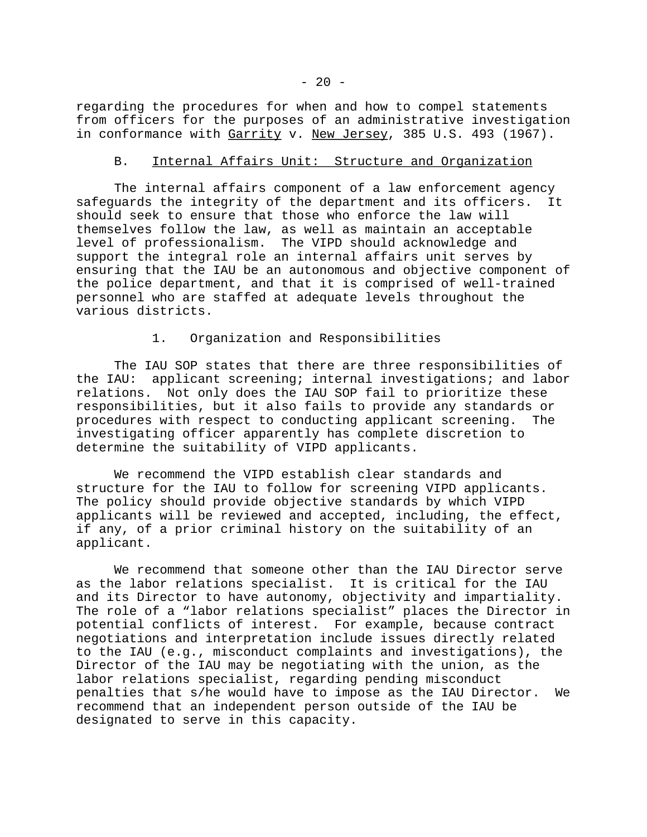regarding the procedures for when and how to compel statements from officers for the purposes of an administrative investigation in conformance with Garrity v. New Jersey, 385 U.S. 493 (1967).

# B. Internal Affairs Unit: Structure and Organization

The internal affairs component of a law enforcement agency safeguards the integrity of the department and its officers. It should seek to ensure that those who enforce the law will themselves follow the law, as well as maintain an acceptable level of professionalism. The VIPD should acknowledge and support the integral role an internal affairs unit serves by ensuring that the IAU be an autonomous and objective component of the police department, and that it is comprised of well-trained personnel who are staffed at adequate levels throughout the various districts.

#### 1. Organization and Responsibilities

The IAU SOP states that there are three responsibilities of the IAU: applicant screening; internal investigations; and labor relations. Not only does the IAU SOP fail to prioritize these responsibilities, but it also fails to provide any standards or procedures with respect to conducting applicant screening. investigating officer apparently has complete discretion to determine the suitability of VIPD applicants.

We recommend the VIPD establish clear standards and structure for the IAU to follow for screening VIPD applicants. The policy should provide objective standards by which VIPD applicants will be reviewed and accepted, including, the effect, if any, of a prior criminal history on the suitability of an applicant.

We recommend that someone other than the IAU Director serve as the labor relations specialist. It is critical for the IAU and its Director to have autonomy, objectivity and impartiality. The role of a "labor relations specialist" places the Director in potential conflicts of interest. For example, because contract negotiations and interpretation include issues directly related to the IAU (e.g., misconduct complaints and investigations), the Director of the IAU may be negotiating with the union, as the labor relations specialist, regarding pending misconduct penalties that s/he would have to impose as the IAU Director. We recommend that an independent person outside of the IAU be designated to serve in this capacity.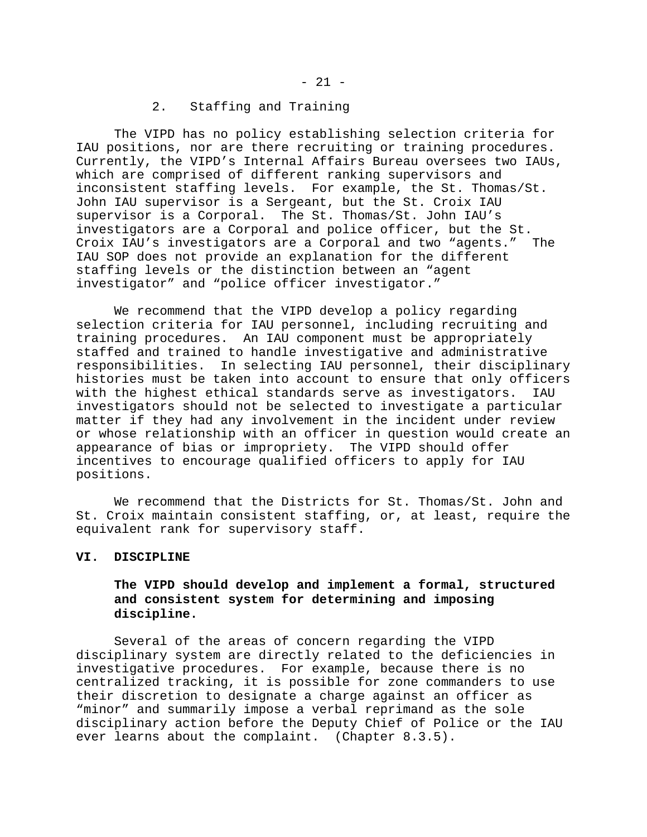### 2. Staffing and Training

The VIPD has no policy establishing selection criteria for IAU positions, nor are there recruiting or training procedures. Currently, the VIPD's Internal Affairs Bureau oversees two IAUs, which are comprised of different ranking supervisors and inconsistent staffing levels. For example, the St. Thomas/St. John IAU supervisor is a Sergeant, but the St. Croix IAU supervisor is a Corporal. The St. Thomas/St. John IAU's investigators are a Corporal and police officer, but the St. Croix IAU's investigators are a Corporal and two "agents." The IAU SOP does not provide an explanation for the different staffing levels or the distinction between an "agent investigator" and "police officer investigator."

We recommend that the VIPD develop a policy regarding selection criteria for IAU personnel, including recruiting and training procedures. An IAU component must be appropriately staffed and trained to handle investigative and administrative responsibilities. In selecting IAU personnel, their disciplinary histories must be taken into account to ensure that only officers with the highest ethical standards serve as investigators. IAU investigators should not be selected to investigate a particular matter if they had any involvement in the incident under review or whose relationship with an officer in question would create an appearance of bias or impropriety. The VIPD should offer incentives to encourage qualified officers to apply for IAU positions.

We recommend that the Districts for St. Thomas/St. John and St. Croix maintain consistent staffing, or, at least, require the equivalent rank for supervisory staff.

#### **VI. DISCIPLINE**

# **The VIPD should develop and implement a formal, structured and consistent system for determining and imposing discipline.**

Several of the areas of concern regarding the VIPD disciplinary system are directly related to the deficiencies in investigative procedures. For example, because there is no centralized tracking, it is possible for zone commanders to use their discretion to designate a charge against an officer as "minor" and summarily impose a verbal reprimand as the sole disciplinary action before the Deputy Chief of Police or the IAU ever learns about the complaint. (Chapter 8.3.5).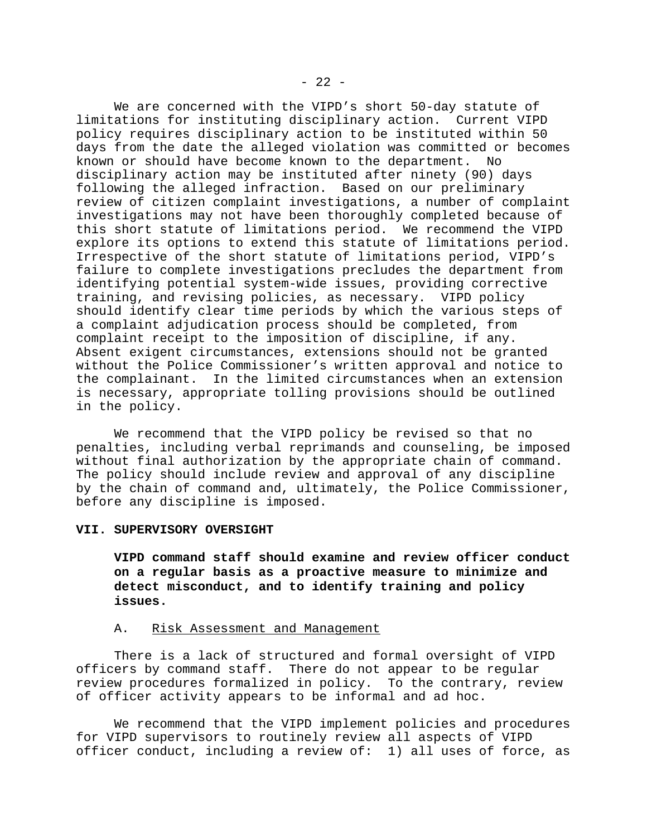We are concerned with the VIPD's short 50-day statute of limitations for instituting disciplinary action. Current VIPD policy requires disciplinary action to be instituted within 50 days from the date the alleged violation was committed or becomes known or should have become known to the department. No disciplinary action may be instituted after ninety (90) days following the alleged infraction. Based on our preliminary review of citizen complaint investigations, a number of complaint investigations may not have been thoroughly completed because of this short statute of limitations period. We recommend the VIPD explore its options to extend this statute of limitations period. Irrespective of the short statute of limitations period, VIPD's failure to complete investigations precludes the department from identifying potential system-wide issues, providing corrective training, and revising policies, as necessary. VIPD policy should identify clear time periods by which the various steps of a complaint adjudication process should be completed, from complaint receipt to the imposition of discipline, if any. Absent exigent circumstances, extensions should not be granted without the Police Commissioner's written approval and notice to the complainant. In the limited circumstances when an extension is necessary, appropriate tolling provisions should be outlined in the policy.

We recommend that the VIPD policy be revised so that no penalties, including verbal reprimands and counseling, be imposed without final authorization by the appropriate chain of command. The policy should include review and approval of any discipline by the chain of command and, ultimately, the Police Commissioner, before any discipline is imposed.

#### **VII. SUPERVISORY OVERSIGHT**

**VIPD command staff should examine and review officer conduct on a regular basis as a proactive measure to minimize and detect misconduct, and to identify training and policy issues.** 

#### A. Risk Assessment and Management

There is a lack of structured and formal oversight of VIPD officers by command staff. There do not appear to be regular review procedures formalized in policy. To the contrary, review of officer activity appears to be informal and ad hoc.

We recommend that the VIPD implement policies and procedures for VIPD supervisors to routinely review all aspects of VIPD officer conduct, including a review of: 1) all uses of force, as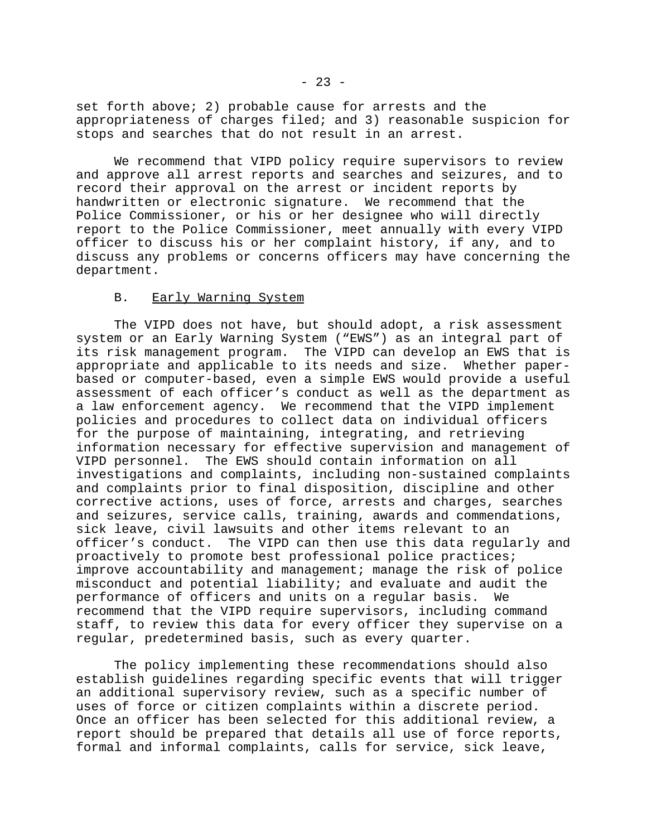set forth above; 2) probable cause for arrests and the appropriateness of charges filed; and 3) reasonable suspicion for stops and searches that do not result in an arrest.

We recommend that VIPD policy require supervisors to review and approve all arrest reports and searches and seizures, and to record their approval on the arrest or incident reports by handwritten or electronic signature. We recommend that the Police Commissioner, or his or her designee who will directly report to the Police Commissioner, meet annually with every VIPD officer to discuss his or her complaint history, if any, and to discuss any problems or concerns officers may have concerning the department.

#### B. Early Warning System

The VIPD does not have, but should adopt, a risk assessment system or an Early Warning System ("EWS") as an integral part of its risk management program. The VIPD can develop an EWS that is appropriate and applicable to its needs and size. Whether paperbased or computer-based, even a simple EWS would provide a useful assessment of each officer's conduct as well as the department as a law enforcement agency. We recommend that the VIPD implement policies and procedures to collect data on individual officers for the purpose of maintaining, integrating, and retrieving information necessary for effective supervision and management of VIPD personnel. The EWS should contain information on all investigations and complaints, including non-sustained complaints and complaints prior to final disposition, discipline and other corrective actions, uses of force, arrests and charges, searches and seizures, service calls, training, awards and commendations, sick leave, civil lawsuits and other items relevant to an officer's conduct. The VIPD can then use this data regularly and proactively to promote best professional police practices; improve accountability and management; manage the risk of police misconduct and potential liability; and evaluate and audit the performance of officers and units on a regular basis. We recommend that the VIPD require supervisors, including command staff, to review this data for every officer they supervise on a regular, predetermined basis, such as every quarter.

The policy implementing these recommendations should also establish guidelines regarding specific events that will trigger an additional supervisory review, such as a specific number of uses of force or citizen complaints within a discrete period. Once an officer has been selected for this additional review, a report should be prepared that details all use of force reports, formal and informal complaints, calls for service, sick leave,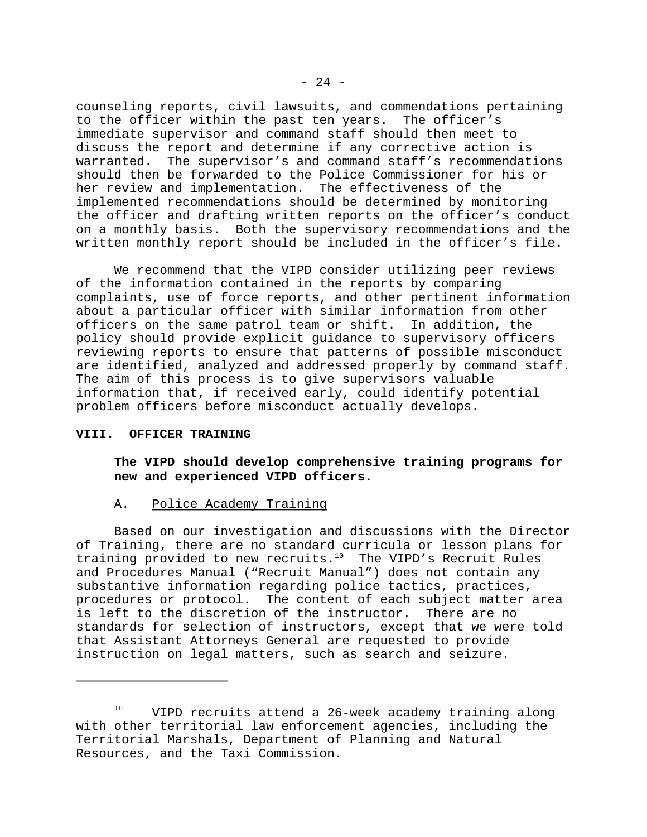counseling reports, civil lawsuits, and commendations pertaining to the officer within the past ten years. The officer's immediate supervisor and command staff should then meet to discuss the report and determine if any corrective action is warranted. The supervisor's and command staff's recommendations should then be forwarded to the Police Commissioner for his or her review and implementation. The effectiveness of the implemented recommendations should be determined by monitoring the officer and drafting written reports on the officer's conduct on a monthly basis. Both the supervisory recommendations and the written monthly report should be included in the officer's file.

We recommend that the VIPD consider utilizing peer reviews of the information contained in the reports by comparing complaints, use of force reports, and other pertinent information about a particular officer with similar information from other officers on the same patrol team or shift. In addition, the policy should provide explicit guidance to supervisory officers reviewing reports to ensure that patterns of possible misconduct are identified, analyzed and addressed properly by command staff. The aim of this process is to give supervisors valuable information that, if received early, could identify potential problem officers before misconduct actually develops.

#### **VIII. OFFICER TRAINING**

**The VIPD should develop comprehensive training programs for new and experienced VIPD officers.** 

#### A. Police Academy Training

Based on our investigation and discussions with the Director of Training, there are no standard curricula or lesson plans for training provided to new recruits.10 The VIPD's Recruit Rules and Procedures Manual ("Recruit Manual") does not contain any substantive information regarding police tactics, practices, procedures or protocol. The content of each subject matter area is left to the discretion of the instructor. There are no standards for selection of instructors, except that we were told that Assistant Attorneys General are requested to provide instruction on legal matters, such as search and seizure.

<sup>&</sup>lt;sup>10</sup> VIPD recruits attend a 26-week academy training along with other territorial law enforcement agencies, including the Territorial Marshals, Department of Planning and Natural Resources, and the Taxi Commission.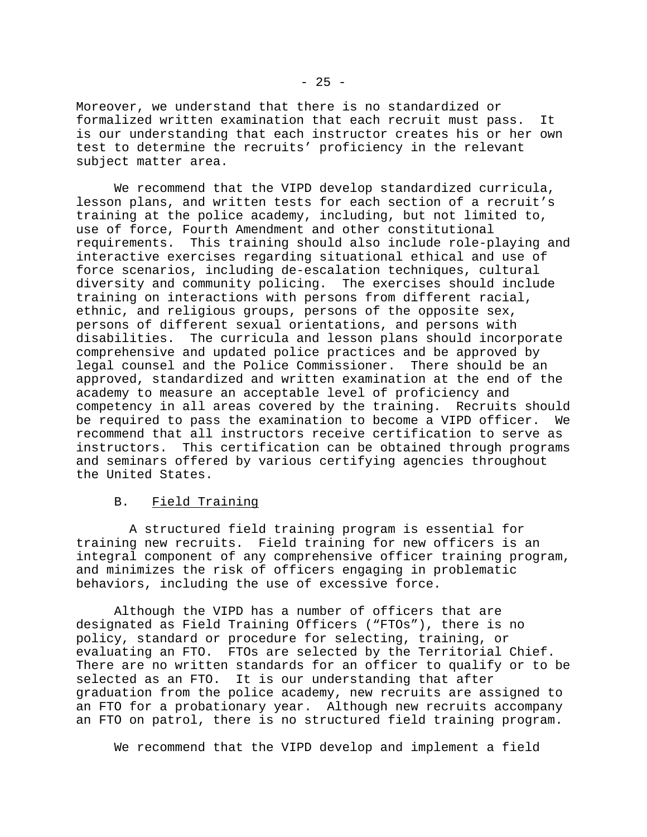Moreover, we understand that there is no standardized or formalized written examination that each recruit must pass. It is our understanding that each instructor creates his or her own test to determine the recruits' proficiency in the relevant subject matter area.

We recommend that the VIPD develop standardized curricula, lesson plans, and written tests for each section of a recruit's training at the police academy, including, but not limited to, use of force, Fourth Amendment and other constitutional requirements. This training should also include role-playing and interactive exercises regarding situational ethical and use of force scenarios, including de-escalation techniques, cultural diversity and community policing. The exercises should include training on interactions with persons from different racial, ethnic, and religious groups, persons of the opposite sex, persons of different sexual orientations, and persons with disabilities. The curricula and lesson plans should incorporate comprehensive and updated police practices and be approved by legal counsel and the Police Commissioner. There should be an approved, standardized and written examination at the end of the academy to measure an acceptable level of proficiency and competency in all areas covered by the training. Recruits should be required to pass the examination to become a VIPD officer. We recommend that all instructors receive certification to serve as instructors. This certification can be obtained through programs and seminars offered by various certifying agencies throughout the United States.

#### B. Field Training

 A structured field training program is essential for training new recruits. Field training for new officers is an integral component of any comprehensive officer training program, and minimizes the risk of officers engaging in problematic behaviors, including the use of excessive force.

Although the VIPD has a number of officers that are designated as Field Training Officers ("FTOs"), there is no policy, standard or procedure for selecting, training, or evaluating an FTO. FTOs are selected by the Territorial Chief. There are no written standards for an officer to qualify or to be selected as an FTO. It is our understanding that after graduation from the police academy, new recruits are assigned to an FTO for a probationary year. Although new recruits accompany an FTO on patrol, there is no structured field training program.

We recommend that the VIPD develop and implement a field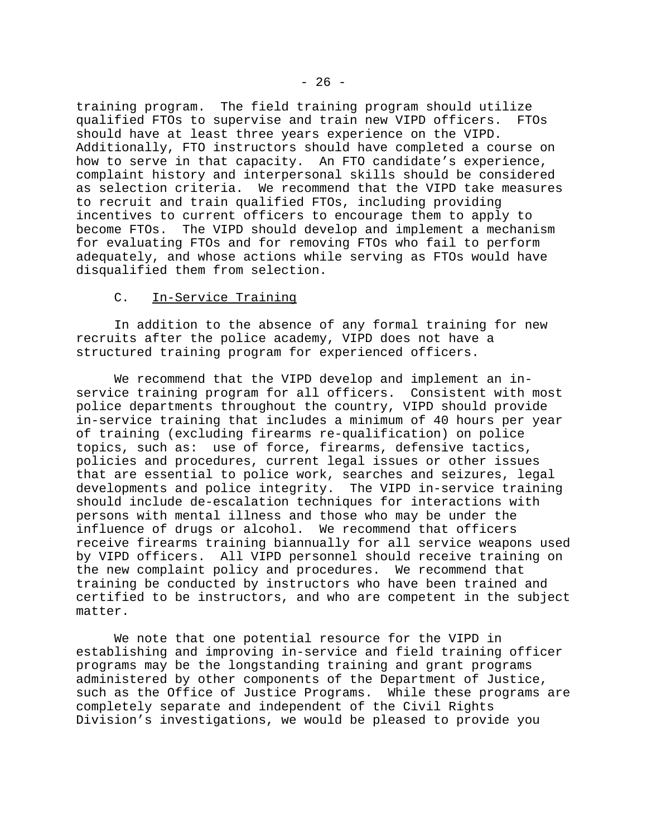training program. The field training program should utilize qualified FTOs to supervise and train new VIPD officers. FTOs should have at least three years experience on the VIPD. Additionally, FTO instructors should have completed a course on how to serve in that capacity. An FTO candidate's experience, complaint history and interpersonal skills should be considered as selection criteria. We recommend that the VIPD take measures to recruit and train qualified FTOs, including providing incentives to current officers to encourage them to apply to become FTOs. The VIPD should develop and implement a mechanism for evaluating FTOs and for removing FTOs who fail to perform adequately, and whose actions while serving as FTOs would have disqualified them from selection.

### C. In-Service Training

In addition to the absence of any formal training for new recruits after the police academy, VIPD does not have a structured training program for experienced officers.

We recommend that the VIPD develop and implement an inservice training program for all officers. Consistent with most police departments throughout the country, VIPD should provide in-service training that includes a minimum of 40 hours per year of training (excluding firearms re-qualification) on police topics, such as: use of force, firearms, defensive tactics, policies and procedures, current legal issues or other issues that are essential to police work, searches and seizures, legal developments and police integrity. The VIPD in-service training should include de-escalation techniques for interactions with persons with mental illness and those who may be under the influence of drugs or alcohol. We recommend that officers receive firearms training biannually for all service weapons used by VIPD officers. All VIPD personnel should receive training on the new complaint policy and procedures. We recommend that training be conducted by instructors who have been trained and certified to be instructors, and who are competent in the subject matter.

We note that one potential resource for the VIPD in establishing and improving in-service and field training officer programs may be the longstanding training and grant programs administered by other components of the Department of Justice, such as the Office of Justice Programs. While these programs are completely separate and independent of the Civil Rights Division's investigations, we would be pleased to provide you